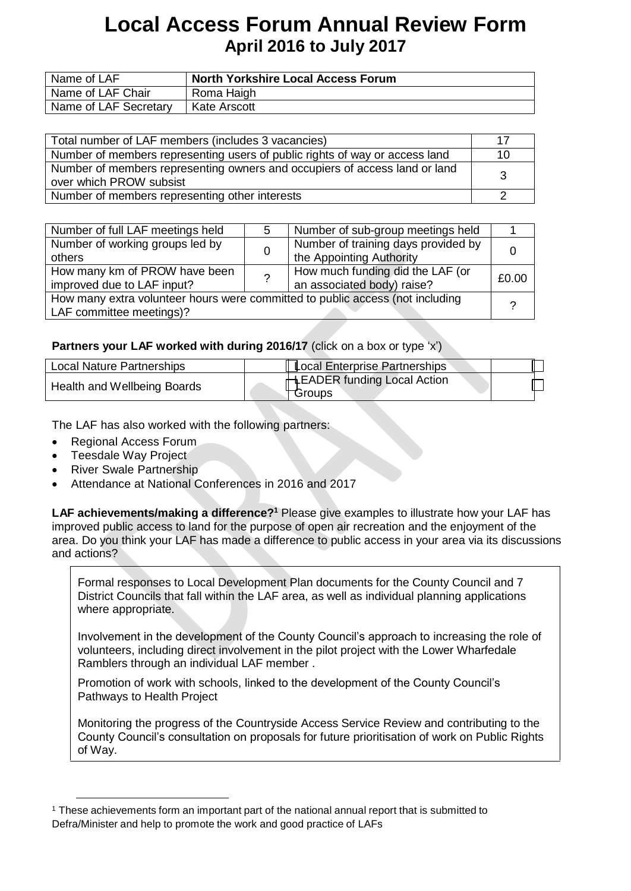| Name of LAF           | <b>North Yorkshire Local Access Forum</b> |
|-----------------------|-------------------------------------------|
| Name of LAF Chair     | Roma Haigh                                |
| Name of LAF Secretary | Kate Arscott                              |

| Total number of LAF members (includes 3 vacancies)                          | 17 |
|-----------------------------------------------------------------------------|----|
| Number of members representing users of public rights of way or access land | 10 |
| Number of members representing owners and occupiers of access land or land  | 3  |
| over which PROW subsist                                                     |    |
| Number of members representing other interests                              |    |

| Number of full LAF meetings held                                              | 5 | Number of sub-group meetings held   |       |
|-------------------------------------------------------------------------------|---|-------------------------------------|-------|
| Number of working groups led by                                               |   | Number of training days provided by |       |
| others                                                                        |   | the Appointing Authority            |       |
| How many km of PROW have been                                                 | ? | How much funding did the LAF (or    | £0.00 |
| improved due to LAF input?                                                    |   | an associated body) raise?          |       |
| How many extra volunteer hours were committed to public access (not including |   |                                     |       |
| LAF committee meetings)?                                                      |   |                                     |       |
|                                                                               |   |                                     |       |

### **Partners your LAF worked with during 2016/17** (click on a box or type 'x')

| <b>Local Nature Partnerships</b> | <b>Local Enterprise Partnerships</b>                 |  |
|----------------------------------|------------------------------------------------------|--|
| Health and Wellbeing Boards      | <b>HLEADER funding Local Action</b><br>$\tau$ Groups |  |

The LAF has also worked with the following partners:

- Regional Access Forum
- Teesdale Way Project
- River Swale Partnership
- Attendance at National Conferences in 2016 and 2017

**LAF achievements/making a difference?<sup>1</sup> Please give examples to illustrate how your LAF has** improved public access to land for the purpose of open air recreation and the enjoyment of the area. Do you think your LAF has made a difference to public access in your area via its discussions and actions?

Formal responses to Local Development Plan documents for the County Council and 7 District Councils that fall within the LAF area, as well as individual planning applications where appropriate.

Involvement in the development of the County Council's approach to increasing the role of volunteers, including direct involvement in the pilot project with the Lower Wharfedale Ramblers through an individual LAF member .

Promotion of work with schools, linked to the development of the County Council's Pathways to Health Project

Monitoring the progress of the Countryside Access Service Review and contributing to the County Council's consultation on proposals for future prioritisation of work on Public Rights of Way.

<sup>1</sup> These achievements form an important part of the national annual report that is submitted to Defra/Minister and help to promote the work and good practice of LAFs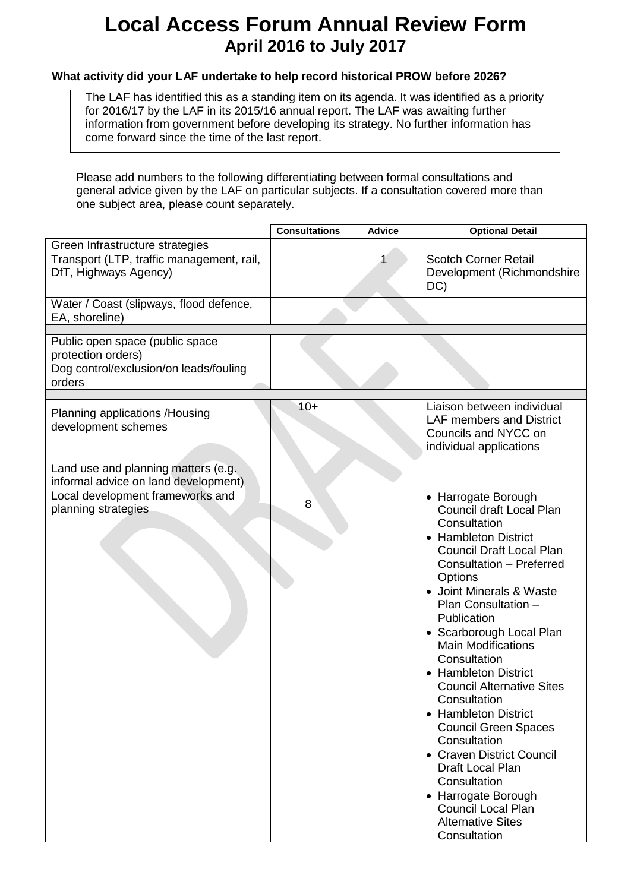### **What activity did your LAF undertake to help record historical PROW before 2026?**

The LAF has identified this as a standing item on its agenda. It was identified as a priority for 2016/17 by the LAF in its 2015/16 annual report. The LAF was awaiting further information from government before developing its strategy. No further information has come forward since the time of the last report.

Please add numbers to the following differentiating between formal consultations and general advice given by the LAF on particular subjects. If a consultation covered more than one subject area, please count separately.

|                                                                             | <b>Consultations</b> | <b>Advice</b> | <b>Optional Detail</b>                                                                                                                                                                                                                                                                                                                                                                                                                                                                                                                                                                                                              |
|-----------------------------------------------------------------------------|----------------------|---------------|-------------------------------------------------------------------------------------------------------------------------------------------------------------------------------------------------------------------------------------------------------------------------------------------------------------------------------------------------------------------------------------------------------------------------------------------------------------------------------------------------------------------------------------------------------------------------------------------------------------------------------------|
| Green Infrastructure strategies                                             |                      |               |                                                                                                                                                                                                                                                                                                                                                                                                                                                                                                                                                                                                                                     |
| Transport (LTP, traffic management, rail,<br>DfT, Highways Agency)          |                      |               | <b>Scotch Corner Retail</b><br>Development (Richmondshire<br>DC)                                                                                                                                                                                                                                                                                                                                                                                                                                                                                                                                                                    |
| Water / Coast (slipways, flood defence,<br>EA, shoreline)                   |                      |               |                                                                                                                                                                                                                                                                                                                                                                                                                                                                                                                                                                                                                                     |
|                                                                             |                      |               |                                                                                                                                                                                                                                                                                                                                                                                                                                                                                                                                                                                                                                     |
| Public open space (public space<br>protection orders)                       |                      |               |                                                                                                                                                                                                                                                                                                                                                                                                                                                                                                                                                                                                                                     |
| Dog control/exclusion/on leads/fouling<br>orders                            |                      |               |                                                                                                                                                                                                                                                                                                                                                                                                                                                                                                                                                                                                                                     |
|                                                                             |                      |               |                                                                                                                                                                                                                                                                                                                                                                                                                                                                                                                                                                                                                                     |
| Planning applications / Housing<br>development schemes                      | $10+$                |               | Liaison between individual<br><b>LAF members and District</b><br>Councils and NYCC on<br>individual applications                                                                                                                                                                                                                                                                                                                                                                                                                                                                                                                    |
| Land use and planning matters (e.g.<br>informal advice on land development) |                      |               |                                                                                                                                                                                                                                                                                                                                                                                                                                                                                                                                                                                                                                     |
| Local development frameworks and<br>planning strategies                     | 8                    |               | • Harrogate Borough<br>Council draft Local Plan<br>Consultation<br>• Hambleton District<br><b>Council Draft Local Plan</b><br>Consultation - Preferred<br>Options<br>Joint Minerals & Waste<br>Plan Consultation -<br>Publication<br>• Scarborough Local Plan<br><b>Main Modifications</b><br>Consultation<br><b>Hambleton District</b><br><b>Council Alternative Sites</b><br>Consultation<br>• Hambleton District<br><b>Council Green Spaces</b><br>Consultation<br>• Craven District Council<br>Draft Local Plan<br>Consultation<br>• Harrogate Borough<br><b>Council Local Plan</b><br><b>Alternative Sites</b><br>Consultation |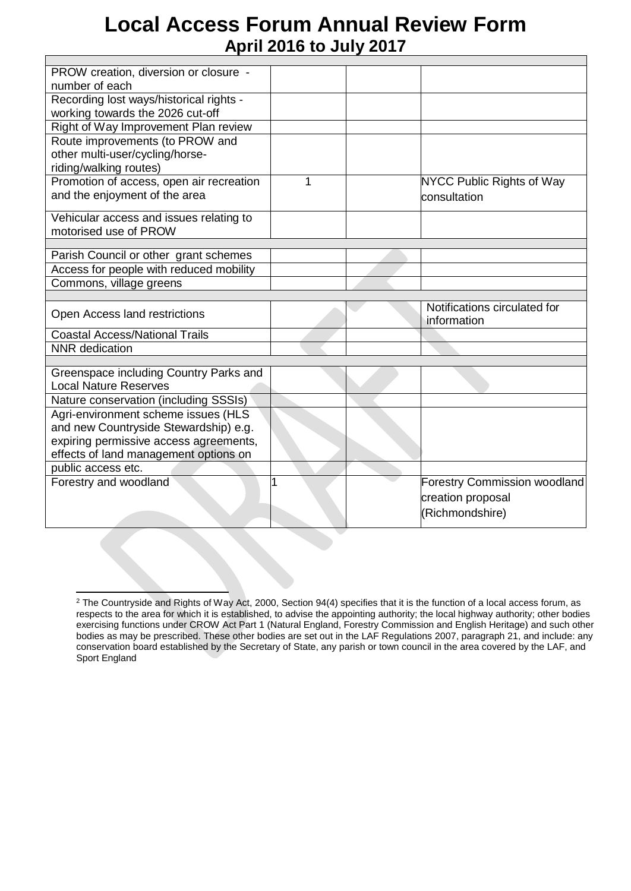| PROW creation, diversion or closure -    |   |                                             |
|------------------------------------------|---|---------------------------------------------|
| number of each                           |   |                                             |
| Recording lost ways/historical rights -  |   |                                             |
| working towards the 2026 cut-off         |   |                                             |
| Right of Way Improvement Plan review     |   |                                             |
| Route improvements (to PROW and          |   |                                             |
| other multi-user/cycling/horse-          |   |                                             |
| riding/walking routes)                   |   |                                             |
| Promotion of access, open air recreation | 1 | NYCC Public Rights of Way                   |
|                                          |   |                                             |
| and the enjoyment of the area            |   | consultation                                |
| Vehicular access and issues relating to  |   |                                             |
| motorised use of PROW                    |   |                                             |
|                                          |   |                                             |
| Parish Council or other grant schemes    |   |                                             |
| Access for people with reduced mobility  |   |                                             |
| Commons, village greens                  |   |                                             |
|                                          |   |                                             |
|                                          |   |                                             |
| Open Access land restrictions            |   | Notifications circulated for<br>information |
| <b>Coastal Access/National Trails</b>    |   |                                             |
| <b>NNR</b> dedication                    |   |                                             |
|                                          |   |                                             |
| Greenspace including Country Parks and   |   |                                             |
| <b>Local Nature Reserves</b>             |   |                                             |
| Nature conservation (including SSSIs)    |   |                                             |
| Agri-environment scheme issues (HLS      |   |                                             |
| and new Countryside Stewardship) e.g.    |   |                                             |
|                                          |   |                                             |
| expiring permissive access agreements,   |   |                                             |
| effects of land management options on    |   |                                             |
| public access etc.                       |   |                                             |
| Forestry and woodland                    |   | <b>Forestry Commission woodland</b>         |
|                                          |   | creation proposal                           |
|                                          |   | (Richmondshire)                             |

<sup>&</sup>lt;sup>2</sup> The Countryside and Rights of Way Act, 2000, Section 94(4) specifies that it is the function of a local access forum, as respects to the area for which it is established, to advise the appointing authority; the local highway authority; other bodies exercising functions under CROW Act Part 1 (Natural England, Forestry Commission and English Heritage) and such other bodies as may be prescribed. These other bodies are set out in the LAF Regulations 2007, paragraph 21, and include: any conservation board established by the Secretary of State, any parish or town council in the area covered by the LAF, and Sport England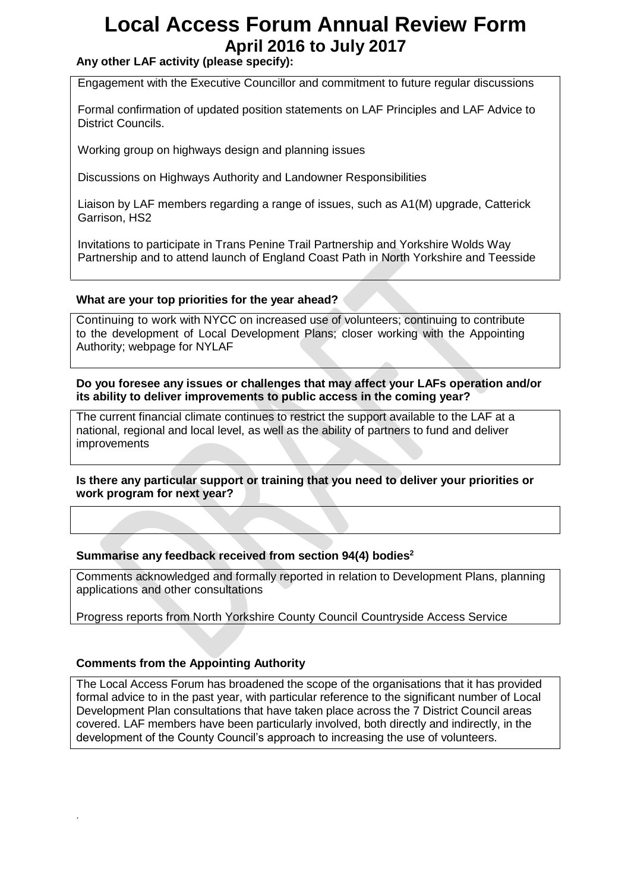## **Any other LAF activity (please specify):**

Engagement with the Executive Councillor and commitment to future regular discussions

Formal confirmation of updated position statements on LAF Principles and LAF Advice to District Councils.

Working group on highways design and planning issues

Discussions on Highways Authority and Landowner Responsibilities

Liaison by LAF members regarding a range of issues, such as A1(M) upgrade, Catterick Garrison, HS2

Invitations to participate in Trans Penine Trail Partnership and Yorkshire Wolds Way Partnership and to attend launch of England Coast Path in North Yorkshire and Teesside

#### **What are your top priorities for the year ahead?**

Continuing to work with NYCC on increased use of volunteers; continuing to contribute to the development of Local Development Plans; closer working with the Appointing Authority; webpage for NYLAF

**Do you foresee any issues or challenges that may affect your LAFs operation and/or its ability to deliver improvements to public access in the coming year?**

The current financial climate continues to restrict the support available to the LAF at a national, regional and local level, as well as the ability of partners to fund and deliver improvements

**Is there any particular support or training that you need to deliver your priorities or work program for next year?**

#### **Summarise any feedback received from section 94(4) bodies<sup>2</sup>**

Comments acknowledged and formally reported in relation to Development Plans, planning applications and other consultations

Progress reports from North Yorkshire County Council Countryside Access Service

#### **Comments from the Appointing Authority**

.

The Local Access Forum has broadened the scope of the organisations that it has provided formal advice to in the past year, with particular reference to the significant number of Local Development Plan consultations that have taken place across the 7 District Council areas covered. LAF members have been particularly involved, both directly and indirectly, in the development of the County Council's approach to increasing the use of volunteers.